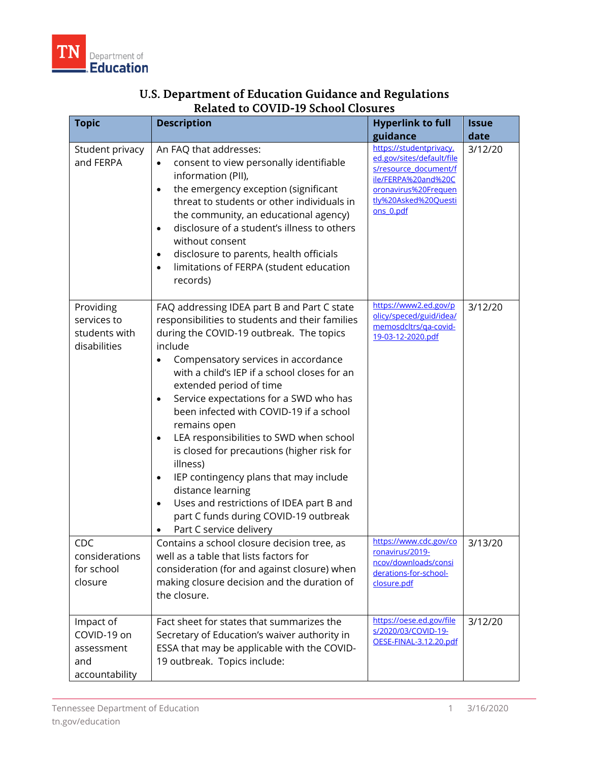| <b>Topic</b>                                                    | <b>Description</b>                                                                                                                                                                                                                                                                                                                                                                                                                                                                                                                                                                                                                                                            | <b>Hyperlink to full</b><br>guidance                                                                                                                              | <b>Issue</b><br>date |
|-----------------------------------------------------------------|-------------------------------------------------------------------------------------------------------------------------------------------------------------------------------------------------------------------------------------------------------------------------------------------------------------------------------------------------------------------------------------------------------------------------------------------------------------------------------------------------------------------------------------------------------------------------------------------------------------------------------------------------------------------------------|-------------------------------------------------------------------------------------------------------------------------------------------------------------------|----------------------|
| Student privacy<br>and FERPA                                    | An FAQ that addresses:<br>consent to view personally identifiable<br>$\bullet$<br>information (PII),<br>the emergency exception (significant<br>$\bullet$<br>threat to students or other individuals in<br>the community, an educational agency)<br>disclosure of a student's illness to others<br>without consent<br>disclosure to parents, health officials<br>limitations of FERPA (student education<br>$\bullet$<br>records)                                                                                                                                                                                                                                             | https://studentprivacy.<br>ed.gov/sites/default/file<br>s/resource_document/f<br>ile/FERPA%20and%20C<br>oronavirus%20Frequen<br>tly%20Asked%20Questi<br>ons 0.pdf | 3/12/20              |
| Providing<br>services to<br>students with<br>disabilities       | FAQ addressing IDEA part B and Part C state<br>responsibilities to students and their families<br>during the COVID-19 outbreak. The topics<br>include<br>Compensatory services in accordance<br>with a child's IEP if a school closes for an<br>extended period of time<br>Service expectations for a SWD who has<br>been infected with COVID-19 if a school<br>remains open<br>LEA responsibilities to SWD when school<br>is closed for precautions (higher risk for<br>illness)<br>IEP contingency plans that may include<br>distance learning<br>Uses and restrictions of IDEA part B and<br>$\bullet$<br>part C funds during COVID-19 outbreak<br>Part C service delivery | https://www2.ed.gov/p<br>olicy/speced/guid/idea/<br>memosdcltrs/ga-covid-<br>19-03-12-2020.pdf                                                                    | 3/12/20              |
| <b>CDC</b><br>considerations<br>for school<br>closure           | Contains a school closure decision tree, as<br>well as a table that lists factors for<br>consideration (for and against closure) when<br>making closure decision and the duration of<br>the closure.                                                                                                                                                                                                                                                                                                                                                                                                                                                                          | https://www.cdc.gov/co<br>ronavirus/2019-<br>ncov/downloads/consi<br>derations-for-school-<br>closure.pdf                                                         | 3/13/20              |
| Impact of<br>COVID-19 on<br>assessment<br>and<br>accountability | Fact sheet for states that summarizes the<br>Secretary of Education's waiver authority in<br>ESSA that may be applicable with the COVID-<br>19 outbreak. Topics include:                                                                                                                                                                                                                                                                                                                                                                                                                                                                                                      | https://oese.ed.gov/file<br>s/2020/03/COVID-19-<br>OESE-FINAL-3.12.20.pdf                                                                                         | 3/12/20              |

## **U.S. Department of Education Guidance and Regulations Related to COVID-19 School Closures**